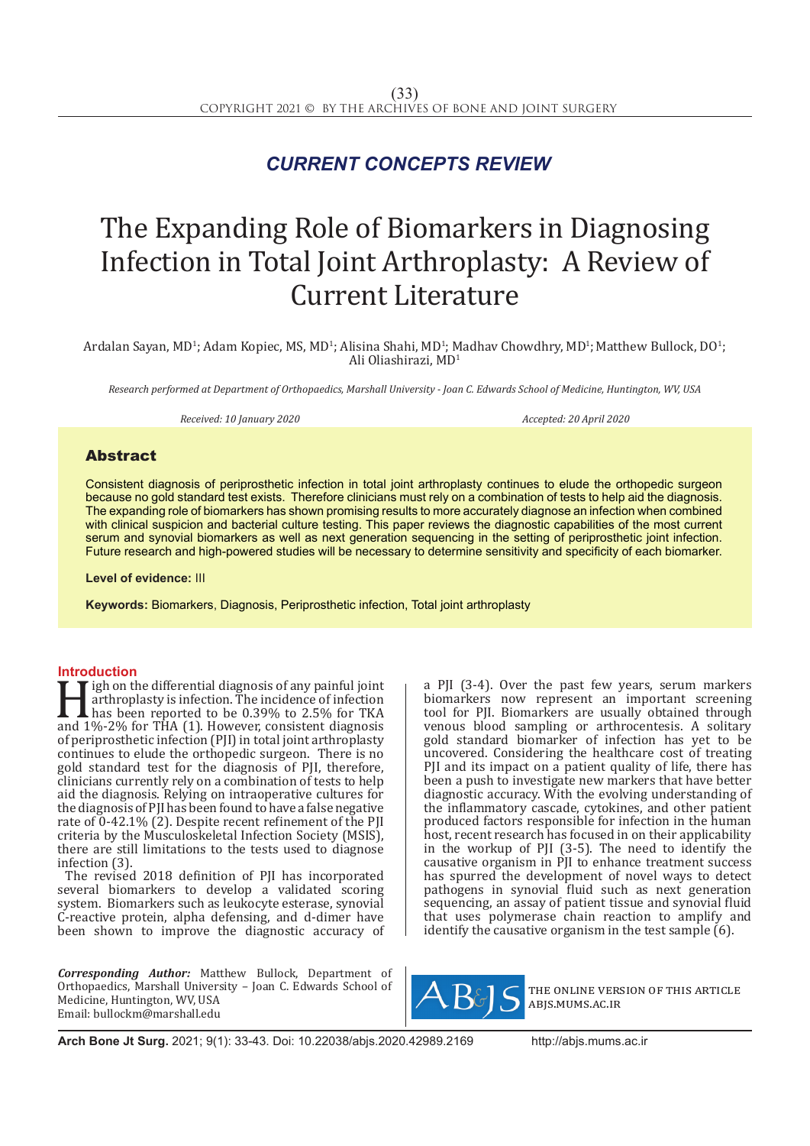## *CURRENT CONCEPTS REVIEW*

# The Expanding Role of Biomarkers in Diagnosing Infection in Total Joint Arthroplasty: A Review of Current Literature

Ardalan Sayan, MD<sup>1</sup>; Adam Kopiec, MS, MD<sup>1</sup>; Alisina Shahi, MD<sup>1</sup>; Madhav Chowdhry, MD<sup>1</sup>; Matthew Bullock, DO<sup>1</sup>; Ali Oliashirazi, MD<sup>1</sup>

*Research performed at Department of Orthopaedics, Marshall University - Joan C. Edwards School of Medicine, Huntington, WV, USA*

*Received: 10 January 2020 Accepted: 20 April 2020*

### Abstract

Consistent diagnosis of periprosthetic infection in total joint arthroplasty continues to elude the orthopedic surgeon because no gold standard test exists. Therefore clinicians must rely on a combination of tests to help aid the diagnosis. The expanding role of biomarkers has shown promising results to more accurately diagnose an infection when combined with clinical suspicion and bacterial culture testing. This paper reviews the diagnostic capabilities of the most current serum and synovial biomarkers as well as next generation sequencing in the setting of periprosthetic joint infection. Future research and high-powered studies will be necessary to determine sensitivity and specificity of each biomarker.

**Level of evidence:** III

**Keywords:** Biomarkers, Diagnosis, Periprosthetic infection, Total joint arthroplasty

**Introduction**<br>**T** igh on the differential diagnosis of any painful joint Figh on the differential diagnosis of any painful joint<br>
arthroplasty is infection. The incidence of infection<br>
has been reported to be 0.39% to 2.5% for TKA<br>
and 1%-2% for THA (1). However, consistent diagnosis<br>
of peripr arthroplasty is infection. The incidence of infection has been reported to be 0.39% to 2.5% for TKA of periprosthetic infection (PJI) in total joint arthroplasty continues to elude the orthopedic surgeon. There is no gold standard test for the diagnosis of PJI, therefore, clinicians currently rely on a combination of tests to help aid the diagnosis. Relying on intraoperative cultures for the diagnosis of PJI has been found to have a false negative rate of 0-42.1% (2). Despite recent refinement of the PJI criteria by the Musculoskeletal Infection Society (MSIS), there are still limitations to the tests used to diagnose infection (3).

The revised 2018 definition of PJI has incorporated several biomarkers to develop a validated scoring system. Biomarkers such as leukocyte esterase, synovial C-reactive protein, alpha defensing, and d-dimer have been shown to improve the diagnostic accuracy of

*Corresponding Author:* Matthew Bullock, Department of Orthopaedics, Marshall University – Joan C. Edwards School of Medicine, Huntington, WV, USA Email: bullockm@marshall.edu

a PJI (3-4). Over the past few years, serum markers biomarkers now represent an important screening tool for PJI. Biomarkers are usually obtained through venous blood sampling or arthrocentesis. A solitary gold standard biomarker of infection has yet to be uncovered. Considering the healthcare cost of treating PJI and its impact on a patient quality of life, there has been a push to investigate new markers that have better diagnostic accuracy. With the evolving understanding of the inflammatory cascade, cytokines, and other patient produced factors responsible for infection in the human host, recent research has focused in on their applicability in the workup of PJI (3-5). The need to identify the causative organism in PJI to enhance treatment success has spurred the development of novel ways to detect pathogens in synovial fluid such as next generation sequencing, an assay of patient tissue and synovial fluid that uses polymerase chain reaction to amplify and identify the causative organism in the test sample (6).



the online version of this article abjs.mums.ac.ir

**Arch Bone Jt Surg.** 2021; 9(1): 33-43. Doi: 10.22038/abjs.2020.42989.2169 http://abjs.mums.ac.ir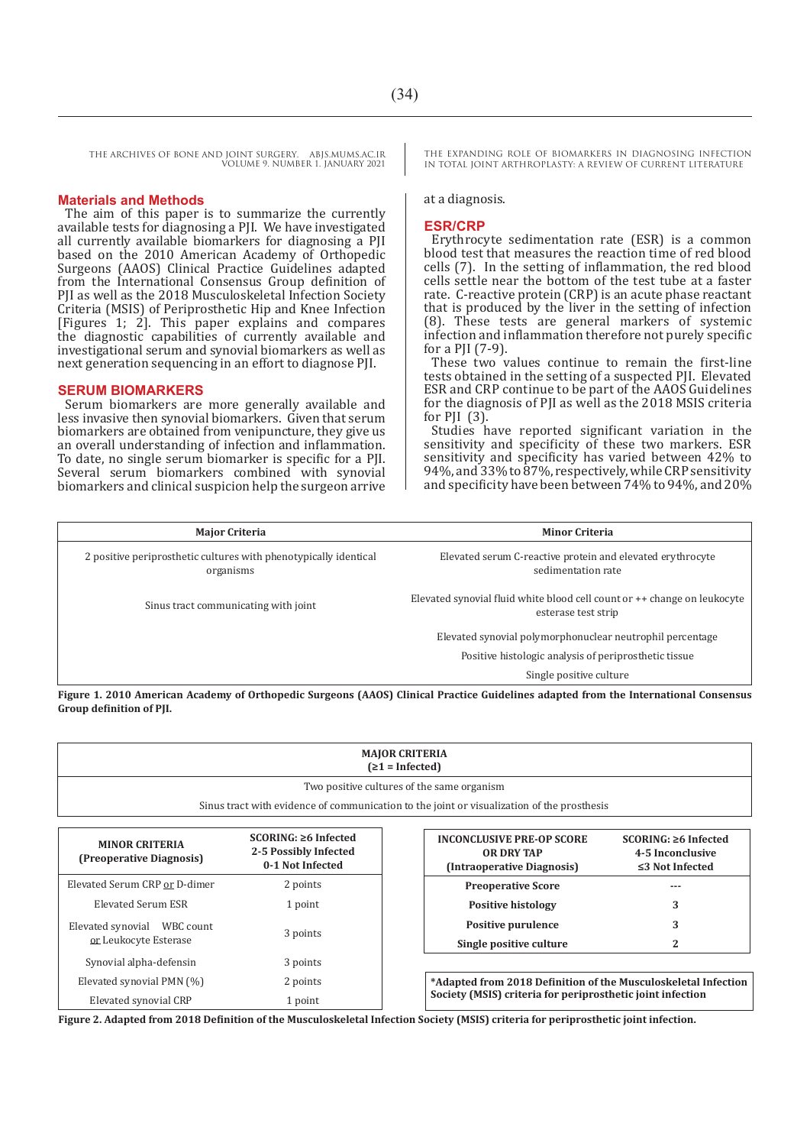#### **Materials and Methods**

The aim of this paper is to summarize the currently available tests for diagnosing a PJI. We have investigated all currently available biomarkers for diagnosing a PJI based on the 2010 American Academy of Orthopedic Surgeons (AAOS) Clinical Practice Guidelines adapted from the International Consensus Group definition of PJI as well as the 2018 Musculoskeletal Infection Society Criteria (MSIS) of Periprosthetic Hip and Knee Infection [Figures 1; 2]. This paper explains and compares the diagnostic capabilities of currently available and investigational serum and synovial biomarkers as well as next generation sequencing in an effort to diagnose PJI.

#### **SERUM BIOMARKERS**

Serum biomarkers are more generally available and less invasive then synovial biomarkers. Given that serum biomarkers are obtained from venipuncture, they give us an overall understanding of infection and inflammation. To date, no single serum biomarker is specific for a PJI. Several serum biomarkers combined with synovial biomarkers and clinical suspicion help the surgeon arrive THE EXPANDING ROLE OF BIOMARKERS IN DIAGNOSING INFECTION IN TOTAL JOINT ARTHROPLASTY: A REVIEW OF CURRENT LITERATURE

#### at a diagnosis.

#### **ESR/CRP**

Erythrocyte sedimentation rate (ESR) is a common blood test that measures the reaction time of red blood cells (7). In the setting of inflammation, the red blood cells settle near the bottom of the test tube at a faster rate. C-reactive protein (CRP) is an acute phase reactant that is produced by the liver in the setting of infection (8). These tests are general markers of systemic infection and inflammation therefore not purely specific for a PJI (7-9).

These two values continue to remain the first-line tests obtained in the setting of a suspected PJI. Elevated ESR and CRP continue to be part of the AAOS Guidelines for the diagnosis of PJI as well as the 2018 MSIS criteria for  $PII$  (3).

Studies have reported significant variation in the sensitivity and specificity of these two markers. ESR sensitivity and specificity has varied between 42% to 94%, and 33% to 87%, respectively, while CRP sensitivity and specificity have been between 74% to 94%, and 20%

| <b>Major Criteria</b>                                                         | <b>Minor Criteria</b>                                                                             |  |
|-------------------------------------------------------------------------------|---------------------------------------------------------------------------------------------------|--|
| 2 positive periprosthetic cultures with phenotypically identical<br>organisms | Elevated serum C-reactive protein and elevated erythrocyte<br>sedimentation rate                  |  |
| Sinus tract communicating with joint                                          | Elevated synovial fluid white blood cell count or $++$ change on leukocyte<br>esterase test strip |  |
|                                                                               | Elevated synovial polymorphonuclear neutrophil percentage                                         |  |
|                                                                               | Positive histologic analysis of periprosthetic tissue                                             |  |
|                                                                               | Single positive culture                                                                           |  |

**Figure 1. 2010 American Academy of Orthopedic Surgeons (AAOS) Clinical Practice Guidelines adapted from the International Consensus Group definition of PJI.**

| <b>MAJOR CRITERIA</b><br>$( \ge 1 = \text{Infected})$                                                                                    |                                                                         |  |                                                                                     |                                                                         |
|------------------------------------------------------------------------------------------------------------------------------------------|-------------------------------------------------------------------------|--|-------------------------------------------------------------------------------------|-------------------------------------------------------------------------|
| Two positive cultures of the same organism<br>Sinus tract with evidence of communication to the joint or visualization of the prosthesis |                                                                         |  |                                                                                     |                                                                         |
| <b>MINOR CRITERIA</b><br>(Preoperative Diagnosis)                                                                                        | $SCORING: \geq 6$ Infected<br>2-5 Possibly Infected<br>0-1 Not Infected |  | <b>INCONCLUSIVE PRE-OP SCORE</b><br><b>OR DRY TAP</b><br>(Intraoperative Diagnosis) | $SCORING: \geq 6$ Infected<br>4-5 Inconclusive<br>$\leq$ 3 Not Infected |

| Elevated Serum CRP or D-dimer                           | 2 points | <b>Preoperative Score</b>                                                                                                    | --- |
|---------------------------------------------------------|----------|------------------------------------------------------------------------------------------------------------------------------|-----|
| Elevated Serum ESR                                      | 1 point  | <b>Positive histology</b>                                                                                                    |     |
| Elevated synovial<br>WBC count<br>or Leukocyte Esterase | 3 points | <b>Positive purulence</b>                                                                                                    |     |
|                                                         |          | Single positive culture                                                                                                      |     |
| Synovial alpha-defensin                                 | 3 points |                                                                                                                              |     |
| Elevated synovial PMN (%)                               | 2 points | *Adapted from 2018 Definition of the Musculoskeletal Infection<br>Society (MSIS) criteria for periprosthetic joint infection |     |
| Elevated synovial CRP                                   | 1 point  |                                                                                                                              |     |

**Figure 2. Adapted from 2018 Definition of the Musculoskeletal Infection Society (MSIS) criteria for periprosthetic joint infection.**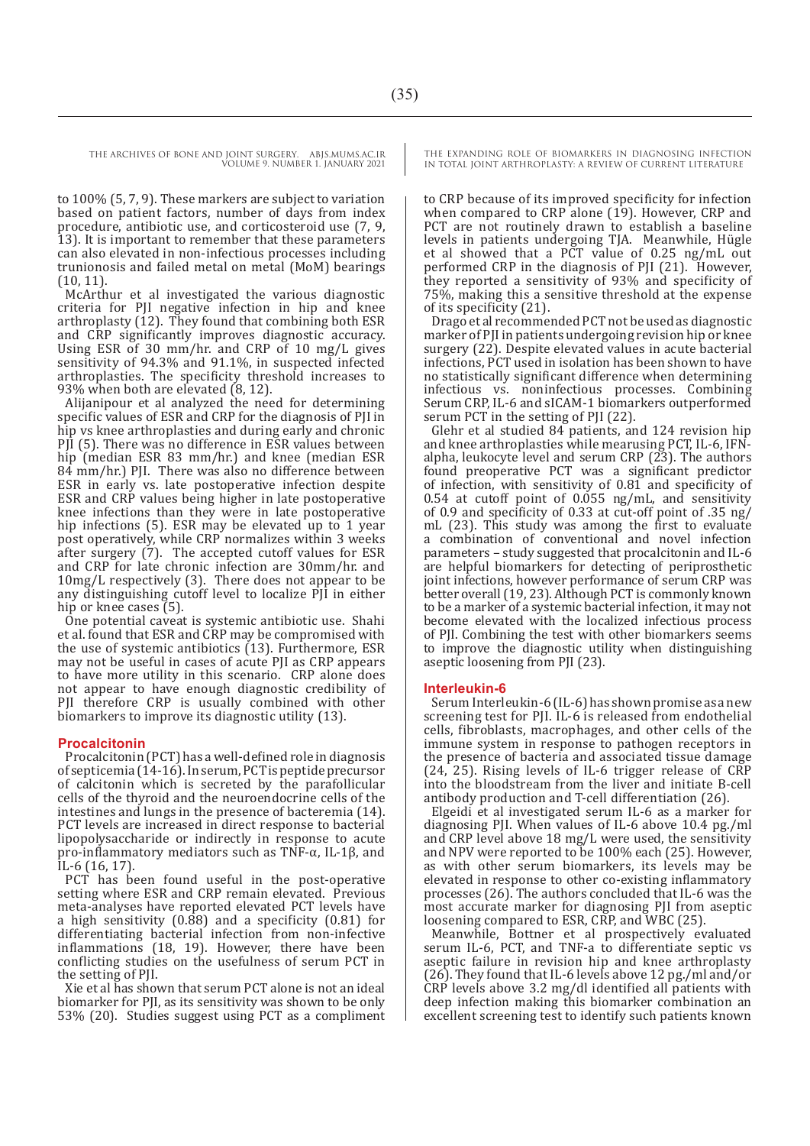THE ARCHIVES OF BONE AND JOINT SURGERY. ABJS.MUMS.AC.IR

VOLUME 9. NUMBER 1. JANUARY 2021

to 100% (5, 7, 9). These markers are subject to variation based on patient factors, number of days from index procedure, antibiotic use, and corticosteroid use (7, 9, 13). It is important to remember that these parameters can also elevated in non-infectious processes including trunionosis and failed metal on metal (MoM) bearings (10, 11).

McArthur et al investigated the various diagnostic criteria for PJI negative infection in hip and knee arthroplasty  $(12)$ . They found that combining both ESR and CRP significantly improves diagnostic accuracy. Using ESR of 30 mm/hr. and CRP of 10 mg/L gives sensitivity of 94.3% and 91.1%, in suspected infected arthroplasties. The specificity threshold increases to 93% when both are elevated (8, 12).

Alijanipour et al analyzed the need for determining specific values of ESR and CRP for the diagnosis of PII in hip vs knee arthroplasties and during early and chronic PJI (5). There was no difference in ESR values between hip (median ESR 83 mm/hr.) and knee (median ESR 84 mm/hr.) PJI. There was also no difference between ESR in early vs. late postoperative infection despite ESR and CRP values being higher in late postoperative knee infections than they were in late postoperative hip infections (5). ESR may be elevated up to 1 year post operatively, while CRP normalizes within 3 weeks after surgery (7). The accepted cutoff values for ESR and CRP for late chronic infection are 30mm/hr. and 10mg/L respectively (3). There does not appear to be any distinguishing cutoff level to localize PJI in either hip or knee cases (5).

One potential caveat is systemic antibiotic use. Shahi et al. found that ESR and CRP may be compromised with the use of systemic antibiotics (13). Furthermore, ESR may not be useful in cases of acute PJI as CRP appears to have more utility in this scenario. CRP alone does not appear to have enough diagnostic credibility of PII therefore CRP is usually combined with other biomarkers to improve its diagnostic utility (13).

#### **Procalcitonin**

Procalcitonin (PCT) has a well-defined role in diagnosis of septicemia (14-16). In serum, PCT is peptide precursor of calcitonin which is secreted by the parafollicular cells of the thyroid and the neuroendocrine cells of the intestines and lungs in the presence of bacteremia (14). PCT levels are increased in direct response to bacterial lipopolysaccharide or indirectly in response to acute pro-inflammatory mediators such as TNF-α, IL-1β, and IL-6 (16, 17).

PCT has been found useful in the post-operative setting where ESR and CRP remain elevated. Previous meta-analyses have reported elevated PCT levels have a high sensitivity (0.88) and a specificity (0.81) for differentiating bacterial infection from non-infective inflammations (18, 19). However, there have been conflicting studies on the usefulness of serum PCT in the setting of PJI.

Xie et al has shown that serum PCT alone is not an ideal biomarker for PJI, as its sensitivity was shown to be only 53% (20). Studies suggest using PCT as a compliment THE EXPANDING ROLE OF BIOMARKERS IN DIAGNOSING INFECTION IN TOTAL JOINT ARTHROPLASTY: A REVIEW OF CURRENT LITERATURE

to CRP because of its improved specificity for infection when compared to CRP alone (19). However, CRP and PCT are not routinely drawn to establish a baseline levels in patients undergoing TJA. Meanwhile, Hügle et al showed that a PCT value of 0.25 ng/mL out performed CRP in the diagnosis of PJI (21). However, they reported a sensitivity of 93% and specificity of 75%, making this a sensitive threshold at the expense of its specificity (21).

Drago et al recommended PCT not be used as diagnostic marker of PJI in patients undergoing revision hip or knee surgery (22). Despite elevated values in acute bacterial infections, PCT used in isolation has been shown to have no statistically significant difference when determining infectious vs. noninfectious processes. Combining Serum CRP, IL-6 and sICAM-1 biomarkers outperformed serum PCT in the setting of PJI (22).

Glehr et al studied 84 patients, and 124 revision hip and knee arthroplasties while mearusing PCT, IL-6, IFNalpha, leukocyte level and serum CRP (23). The authors found preoperative PCT was a significant predictor of infection, with sensitivity of 0.81 and specificity of 0.54 at cutoff point of 0.055 ng/mL, and sensitivity of 0.9 and specificity of 0.33 at cut-off point of .35 ng/ mL (23). This study was among the first to evaluate a combination of conventional and novel infection parameters – study suggested that procalcitonin and IL-6 are helpful biomarkers for detecting of periprosthetic joint infections, however performance of serum CRP was better overall (19, 23). Although PCT is commonly known to be a marker of a systemic bacterial infection, it may not become elevated with the localized infectious process of PJI. Combining the test with other biomarkers seems to improve the diagnostic utility when distinguishing aseptic loosening from PJI (23).

#### **Interleukin-6**

Serum Interleukin-6 (IL-6) has shown promise as a new screening test for PJI. IL-6 is released from endothelial cells, fibroblasts, macrophages, and other cells of the immune system in response to pathogen receptors in the presence of bacteria and associated tissue damage (24, 25). Rising levels of IL-6 trigger release of CRP into the bloodstream from the liver and initiate B-cell antibody production and T-cell differentiation (26).

Elgeidi et al investigated serum IL-6 as a marker for diagnosing PJI. When values of IL-6 above 10.4 pg./ml and CRP level above 18 mg/L were used, the sensitivity and NPV were reported to be 100% each (25). However, as with other serum biomarkers, its levels may be elevated in response to other co-existing inflammatory processes (26). The authors concluded that IL-6 was the most accurate marker for diagnosing PJI from aseptic loosening compared to ESR, CRP, and WBC (25).

Meanwhile, Bottner et al prospectively evaluated serum IL-6, PCT, and TNF-a to differentiate septic vs aseptic failure in revision hip and knee arthroplasty (26). They found that IL-6 levels above 12 pg./ml and/or  $CRP$  levels above 3.2 mg/dl identified all patients with deep infection making this biomarker combination an excellent screening test to identify such patients known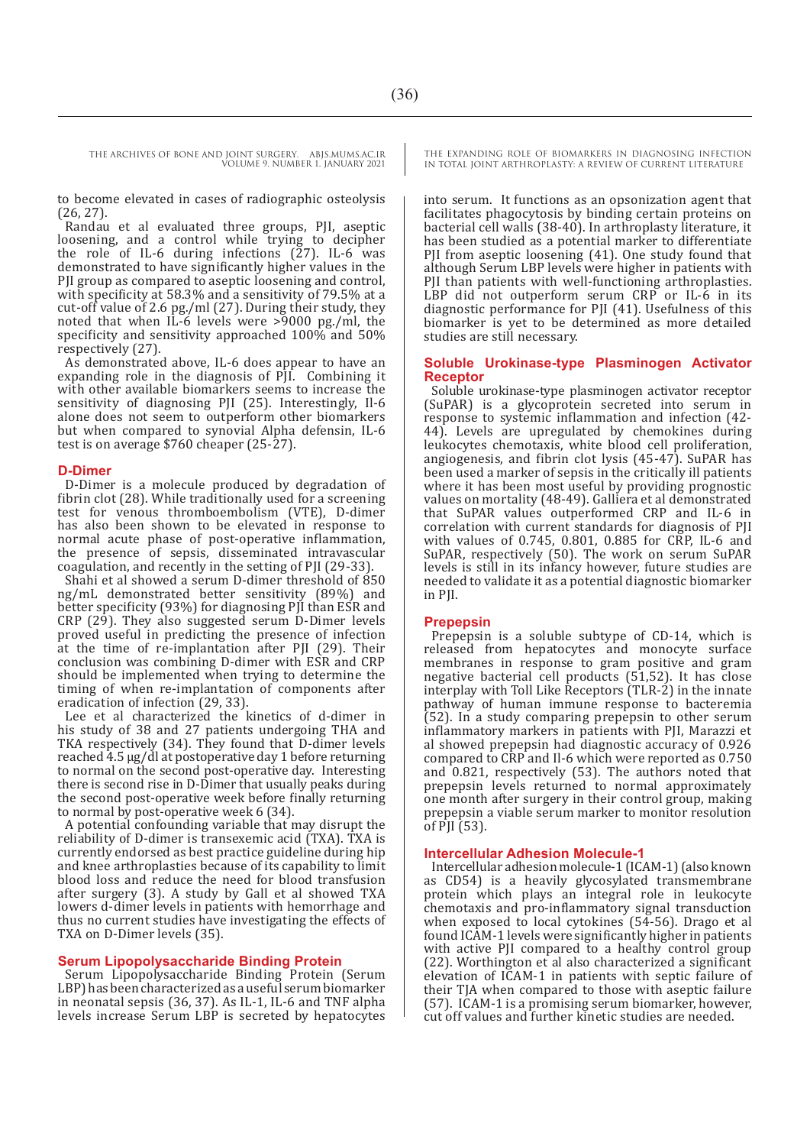to become elevated in cases of radiographic osteolysis (26, 27).

Randau et al evaluated three groups, PJI, aseptic loosening, and a control while trying to decipher the role of IL-6 during infections  $(27)$ . IL-6 was demonstrated to have significantly higher values in the PJI group as compared to aseptic loosening and control, with specificity at 58.3% and a sensitivity of 79.5% at a cut-off value of 2.6 pg./ml (27). During their study, they noted that when IL-6 levels were >9000 pg./ml, the specificity and sensitivity approached 100% and 50% respectively (27).

As demonstrated above, IL-6 does appear to have an expanding role in the diagnosis of PJI. Combining it with other available biomarkers seems to increase the sensitivity of diagnosing PJI (25). Interestingly, Il-6 alone does not seem to outperform other biomarkers but when compared to synovial Alpha defensin, IL-6 test is on average \$760 cheaper (25-27).

#### **D-Dimer**

D-Dimer is a molecule produced by degradation of fibrin clot (28). While traditionally used for a screening test for venous thromboembolism (VTE), D-dimer has also been shown to be elevated in response to normal acute phase of post-operative inflammation, the presence of sepsis, disseminated intravascular coagulation, and recently in the setting of PJI (29-33).

Shahi et al showed a serum D-dimer threshold of 850 ng/mL demonstrated better sensitivity (89%) and better specificity (93%) for diagnosing PJI than ESR and CRP (29). They also suggested serum D-Dimer levels proved useful in predicting the presence of infection at the time of re-implantation after PJI (29). Their conclusion was combining D-dimer with ESR and CRP should be implemented when trying to determine the timing of when re-implantation of components after eradication of infection (29, 33).

Lee et al characterized the kinetics of d-dimer in his study of 38 and 27 patients undergoing THA and TKA respectively (34). They found that D-dimer levels reached 4.5 μg/dl at postoperative day 1 before returning to normal on the second post-operative day. Interesting there is second rise in D-Dimer that usually peaks during the second post-operative week before finally returning to normal by post-operative week 6 (34).

A potential confounding variable that may disrupt the reliability of D-dimer is transexemic acid (TXA). TXA is currently endorsed as best practice guideline during hip and knee arthroplasties because of its capability to limit blood loss and reduce the need for blood transfusion after surgery (3). A study by Gall et al showed TXA lowers d-dimer levels in patients with hemorrhage and thus no current studies have investigating the effects of TXA on D-Dimer levels (35).

#### **Serum Lipopolysaccharide Binding Protein**

Serum Lipopolysaccharide Binding Protein (Serum LBP) has been characterized as a useful serum biomarker in neonatal sepsis (36, 37). As IL-1, IL-6 and TNF alpha levels increase Serum LBP is secreted by hepatocytes THE EXPANDING ROLE OF BIOMARKERS IN DIAGNOSING INFECTION IN TOTAL JOINT ARTHROPLASTY: A REVIEW OF CURRENT LITERATURE

into serum. It functions as an opsonization agent that facilitates phagocytosis by binding certain proteins on bacterial cell walls (38-40). In arthroplasty literature, it has been studied as a potential marker to differentiate PJI from aseptic loosening (41). One study found that although Serum LBP levels were higher in patients with PJI than patients with well-functioning arthroplasties. LBP did not outperform serum CRP or IL-6 in its diagnostic performance for PJI (41). Usefulness of this biomarker is yet to be determined as more detailed studies are still necessary.

#### **Soluble Urokinase-type Plasminogen Activator Receptor**

Soluble urokinase-type plasminogen activator receptor (SuPAR) is a glycoprotein secreted into serum in response to systemic inflammation and infection (42- 44). Levels are upregulated by chemokines during leukocytes chemotaxis, white blood cell proliferation, angiogenesis, and fibrin clot lysis (45-47). SuPAR has been used a marker of sepsis in the critically ill patients where it has been most useful by providing prognostic values on mortality (48-49). Galliera et al demonstrated that SuPAR values outperformed CRP and IL-6 in correlation with current standards for diagnosis of PJI with values of 0.745, 0.801, 0.885 for CRP, IL-6 and SuPAR, respectively (50). The work on serum SuPAR levels is still in its infancy however, future studies are needed to validate it as a potential diagnostic biomarker in PII.

#### **Prepepsin**

Prepepsin is a soluble subtype of CD-14, which is released from hepatocytes and monocyte surface membranes in response to gram positive and gram negative bacterial cell products  $(51,52)$ . It has close interplay with Toll Like Receptors (TLR-2) in the innate pathway of human immune response to bacteremia (52). In a study comparing prepepsin to other serum inflammatory markers in patients with PJI, Marazzi et al showed prepepsin had diagnostic accuracy of 0.926 compared to CRP and Il-6 which were reported as 0.750 and 0.821, respectively (53). The authors noted that prepepsin levels returned to normal approximately one month after surgery in their control group, making prepepsin a viable serum marker to monitor resolution of  $\overline{PI}$  (53).

#### **Intercellular Adhesion Molecule-1**

Intercellular adhesion molecule-1 (ICAM-1) (also known as CD54) is a heavily glycosylated transmembrane protein which plays an integral role in leukocyte chemotaxis and pro-inflammatory signal transduction when exposed to local cytokines (54-56). Drago et al found ICAM-1 levels were significantly higher in patients with active PJI compared to a healthy control group (22). Worthington et al also characterized a significant elevation of ICAM-1 in patients with septic failure of their TJA when compared to those with aseptic failure (57). ICAM-1 is a promising serum biomarker, however, cut off values and further kinetic studies are needed.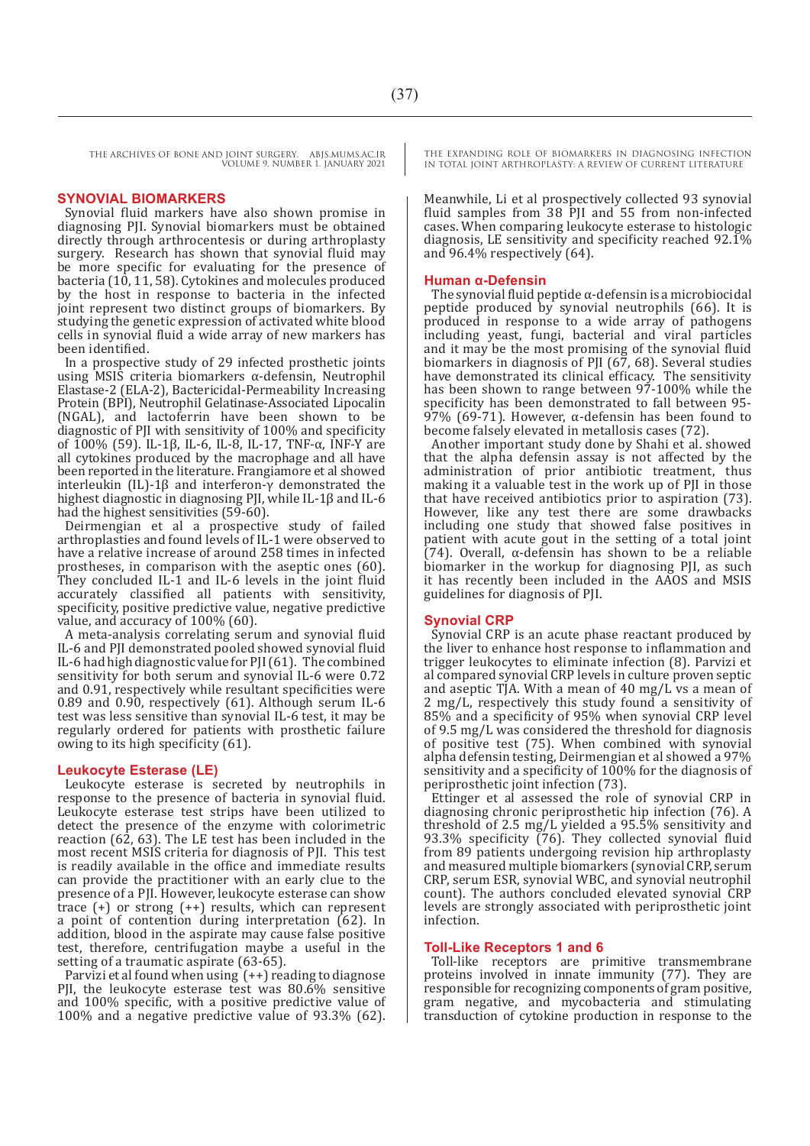#### **SYNOVIAL BIOMARKERS**

Synovial fluid markers have also shown promise in diagnosing PJI. Synovial biomarkers must be obtained directly through arthrocentesis or during arthroplasty surgery. Research has shown that synovial fluid may be more specific for evaluating for the presence of bacteria (10, 11, 58). Cytokines and molecules produced by the host in response to bacteria in the infected joint represent two distinct groups of biomarkers. By studying the genetic expression of activated white blood cells in synovial fluid a wide array of new markers has been identified.

In a prospective study of 29 infected prosthetic joints using MSIS criteria biomarkers α-defensin, Neutrophil Elastase-2 (ELA-2), Bactericidal-Permeability Increasing Protein (BPI), Neutrophil Gelatinase-Associated Lipocalin (NGAL), and lactoferrin have been shown to be diagnostic of PJI with sensitivity of 100% and specificity of 100% (59). IL-1β, IL-6, IL-8, IL-17, TNF-α, INF-Y are all cytokines produced by the macrophage and all have been reported in the literature. Frangiamore et al showed interleukin (IL)-1β and interferon-γ demonstrated the highest diagnostic in diagnosing PJI, while IL-1β and IL-6 had the highest sensitivities (59-60).

Deirmengian et al a prospective study of failed arthroplasties and found levels of IL-1 were observed to have a relative increase of around 258 times in infected prostheses, in comparison with the aseptic ones (60). They concluded IL-1 and IL-6 levels in the joint fluid accurately classified all patients with sensitivity, specificity, positive predictive value, negative predictive value, and accuracy of 100% (60).

A meta-analysis correlating serum and synovial fluid IL-6 and PJI demonstrated pooled showed synovial fluid IL-6 had high diagnostic value for PJI (61). The combined sensitivity for both serum and synovial IL-6 were 0.72 and 0.91, respectively while resultant specificities were 0.89 and 0.90, respectively (61). Although serum IL-6 test was less sensitive than synovial IL-6 test, it may be regularly ordered for patients with prosthetic failure owing to its high specificity (61).

#### **Leukocyte Esterase (LE)**

Leukocyte esterase is secreted by neutrophils in response to the presence of bacteria in synovial fluid. Leukocyte esterase test strips have been utilized to detect the presence of the enzyme with colorimetric reaction (62, 63). The LE test has been included in the most recent MSIS criteria for diagnosis of PJI. This test is readily available in the office and immediate results can provide the practitioner with an early clue to the presence of a PJI. However, leukocyte esterase can show trace (+) or strong (++) results, which can represent a point of contention during interpretation (62). In addition, blood in the aspirate may cause false positive test, therefore, centrifugation maybe a useful in the setting of a traumatic aspirate (63-65).

Parvizi et al found when using  $(++)$  reading to diagnose PJI, the leukocyte esterase test was 80.6% sensitive and 100% specific, with a positive predictive value of 100% and a negative predictive value of 93.3% (62). THE EXPANDING ROLE OF BIOMARKERS IN DIAGNOSING INFECTION IN TOTAL JOINT ARTHROPLASTY: A REVIEW OF CURRENT LITERATURE

Meanwhile, Li et al prospectively collected 93 synovial fluid samples from 38 PJI and 55 from non-infected cases. When comparing leukocyte esterase to histologic diagnosis, LE sensitivity and specificity reached 92.1% and 96.4% respectively (64).

#### **Human α-Defensin**

The synovial fluid peptide  $\alpha$ -defensin is a microbiocidal peptide produced by synovial neutrophils (66). It is produced in response to a wide array of pathogens including yeast, fungi, bacterial and viral particles and it may be the most promising of the synovial fluid biomarkers in diagnosis of PJI (67, 68). Several studies have demonstrated its clinical efficacy. The sensitivity has been shown to range between 97-100% while the specificity has been demonstrated to fall between 95- 97% (69-71). However, α-defensin has been found to become falsely elevated in metallosis cases (72).

Another important study done by Shahi et al. showed that the alpha defensin assay is not affected by the administration of prior antibiotic treatment, thus making it a valuable test in the work up of PJI in those that have received antibiotics prior to aspiration (73). However, like any test there are some drawbacks including one study that showed false positives in patient with acute gout in the setting of a total joint (74). Overall, α-defensin has shown to be a reliable biomarker in the workup for diagnosing PJI, as such it has recently been included in the AAOS and MSIS guidelines for diagnosis of PJI.

#### **Synovial CRP**

Synovial CRP is an acute phase reactant produced by the liver to enhance host response to inflammation and trigger leukocytes to eliminate infection (8). Parvizi et al compared synovial CRP levels in culture proven septic and aseptic TJA. With a mean of 40 mg/ $L$  vs a mean of  $2 \text{ mg/L}$ , respectively this study found a sensitivity of 85% and a specificity of 95% when synovial CRP level of 9.5 mg/L was considered the threshold for diagnosis of positive test (75). When combined with synovial alpha defensin testing, Deirmengian et al showed a 97% sensitivity and a specificity of  $100\%$  for the diagnosis of periprosthetic joint infection (73).

Ettinger et al assessed the role of synovial CRP in diagnosing chronic periprosthetic hip infection (76). A threshold of 2.5 mg/L yielded a 95.5% sensitivity and 93.3% specificity (76). They collected synovial fluid from 89 patients undergoing revision hip arthroplasty and measured multiple biomarkers (synovial CRP, serum CRP, serum ESR, synovial WBC, and synovial neutrophil count). The authors concluded elevated synovial CRP levels are strongly associated with periprosthetic joint infection.

#### **Toll-Like Receptors 1 and 6**

Toll-like receptors are primitive transmembrane proteins involved in innate immunity (77). They are responsible for recognizing components of gram positive, gram negative, and mycobacteria and stimulating transduction of cytokine production in response to the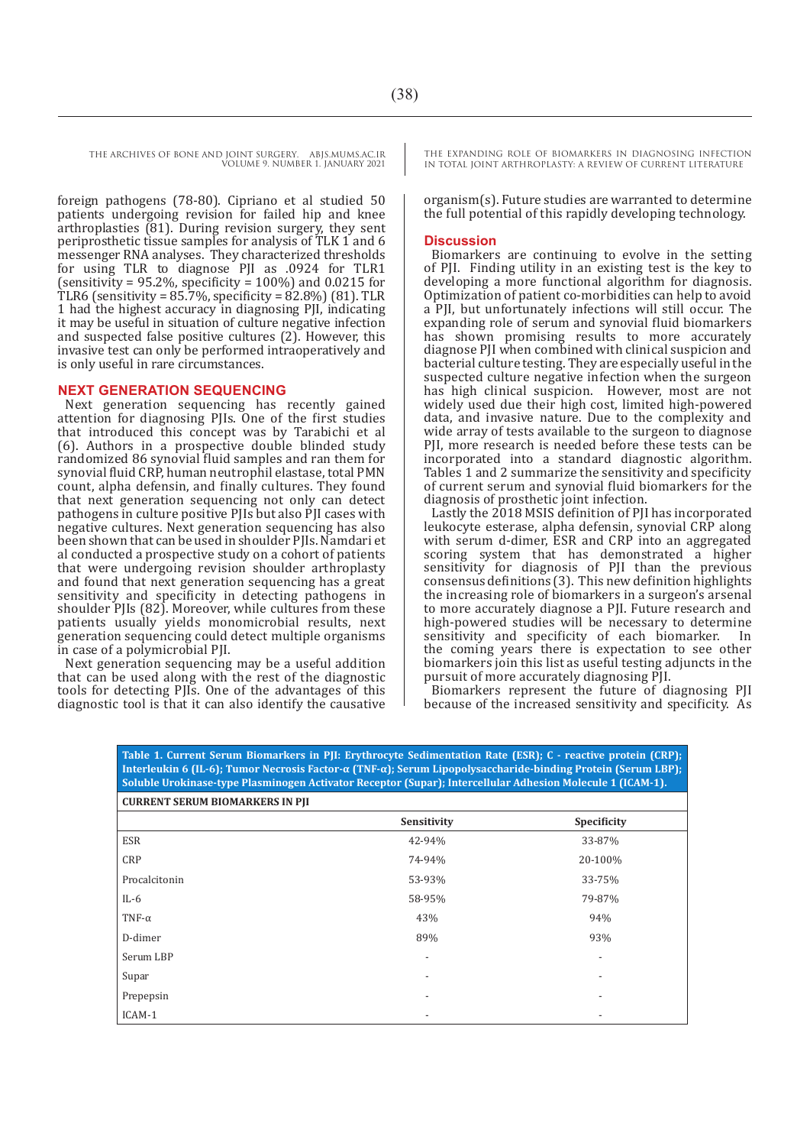foreign pathogens (78-80). Cipriano et al studied 50 patients undergoing revision for failed hip and knee arthroplasties (81). During revision surgery, they sent periprosthetic tissue samples for analysis of TLK 1 and 6 messenger RNA analyses. They characterized thresholds for using TLR to diagnose PJI as .0924 for TLR1 (sensitivity = 95.2%, specificity =  $100\%$ ) and 0.0215 for TLR6 (sensitivity = 85.7%, specificity = 82.8%) (81). TLR 1 had the highest accuracy in diagnosing PJI, indicating it may be useful in situation of culture negative infection and suspected false positive cultures (2). However, this invasive test can only be performed intraoperatively and is only useful in rare circumstances.

#### **NEXT GENERATION SEQUENCING**

Next generation sequencing has recently gained attention for diagnosing PJIs. One of the first studies that introduced this concept was by Tarabichi et al (6). Authors in a prospective double blinded study randomized 86 synovial fluid samples and ran them for synovial fluid CRP, human neutrophil elastase, total PMN count, alpha defensin, and finally cultures. They found that next generation sequencing not only can detect pathogens in culture positive PJIs but also PJI cases with negative cultures. Next generation sequencing has also been shown that can be used in shoulder PJIs. Namdari et al conducted a prospective study on a cohort of patients that were undergoing revision shoulder arthroplasty and found that next generation sequencing has a great sensitivity and specificity in detecting pathogens in shoulder PJIs (82). Moreover, while cultures from these patients usually yields monomicrobial results, next generation sequencing could detect multiple organisms in case of a polymicrobial PJI.

Next generation sequencing may be a useful addition that can be used along with the rest of the diagnostic tools for detecting PJIs. One of the advantages of this diagnostic tool is that it can also identify the causative THE EXPANDING ROLE OF BIOMARKERS IN DIAGNOSING INFECTION IN TOTAL JOINT ARTHROPLASTY: A REVIEW OF CURRENT LITERATURE

organism(s). Future studies are warranted to determine the full potential of this rapidly developing technology.

#### **Discussion**

Biomarkers are continuing to evolve in the setting of PJI. Finding utility in an existing test is the key to developing a more functional algorithm for diagnosis. Optimization of patient co-morbidities can help to avoid a PII, but unfortunately infections will still occur. The expanding role of serum and synovial fluid biomarkers has shown promising results to more accurately diagnose PJI when combined with clinical suspicion and bacterial culture testing. They are especially useful in the suspected culture negative infection when the surgeon has high clinical suspicion. However, most are not widely used due their high cost, limited high-powered data, and invasive nature. Due to the complexity and wide array of tests available to the surgeon to diagnose PJI, more research is needed before these tests can be incorporated into a standard diagnostic algorithm. Tables 1 and 2 summarize the sensitivity and specificity of current serum and synovial fluid biomarkers for the diagnosis of prosthetic joint infection.

Lastly the 2018 MSIS definition of PJI has incorporated leukocyte esterase, alpha defensin, synovial CRP along with serum d-dimer, ESR and CRP into an aggregated scoring system that has demonstrated a higher sensitivity for diagnosis of PJI than the previous consensus definitions (3). This new definition highlights the increasing role of biomarkers in a surgeon's arsenal to more accurately diagnose a PJI. Future research and high-powered studies will be necessary to determine<br>sensitivity and specificity of each biomarker. In sensitivity and specificity of each biomarker. the coming years there is expectation to see other biomarkers join this list as useful testing adjuncts in the pursuit of more accurately diagnosing PJI.

Biomarkers represent the future of diagnosing PJI because of the increased sensitivity and specificity. As

| Soluble Urokinase-type Plasminogen Activator Receptor (Supar); Intercellular Adhesion Molecule 1 (ICAM-1).<br><b>CURRENT SERUM BIOMARKERS IN PII</b> |             |             |  |  |
|------------------------------------------------------------------------------------------------------------------------------------------------------|-------------|-------------|--|--|
|                                                                                                                                                      | Sensitivity | Specificity |  |  |
| <b>ESR</b>                                                                                                                                           | 42-94%      | 33-87%      |  |  |
| <b>CRP</b>                                                                                                                                           | 74-94%      | 20-100%     |  |  |
| Procalcitonin                                                                                                                                        | 53-93%      | 33-75%      |  |  |
| IL-6                                                                                                                                                 | 58-95%      | 79-87%      |  |  |
| TNF- $\alpha$                                                                                                                                        | 43%         | 94%         |  |  |
| D-dimer                                                                                                                                              | 89%         | 93%         |  |  |
| Serum LBP                                                                                                                                            |             |             |  |  |
| Supar                                                                                                                                                |             |             |  |  |
| Prepepsin                                                                                                                                            |             |             |  |  |
| ICAM-1                                                                                                                                               |             |             |  |  |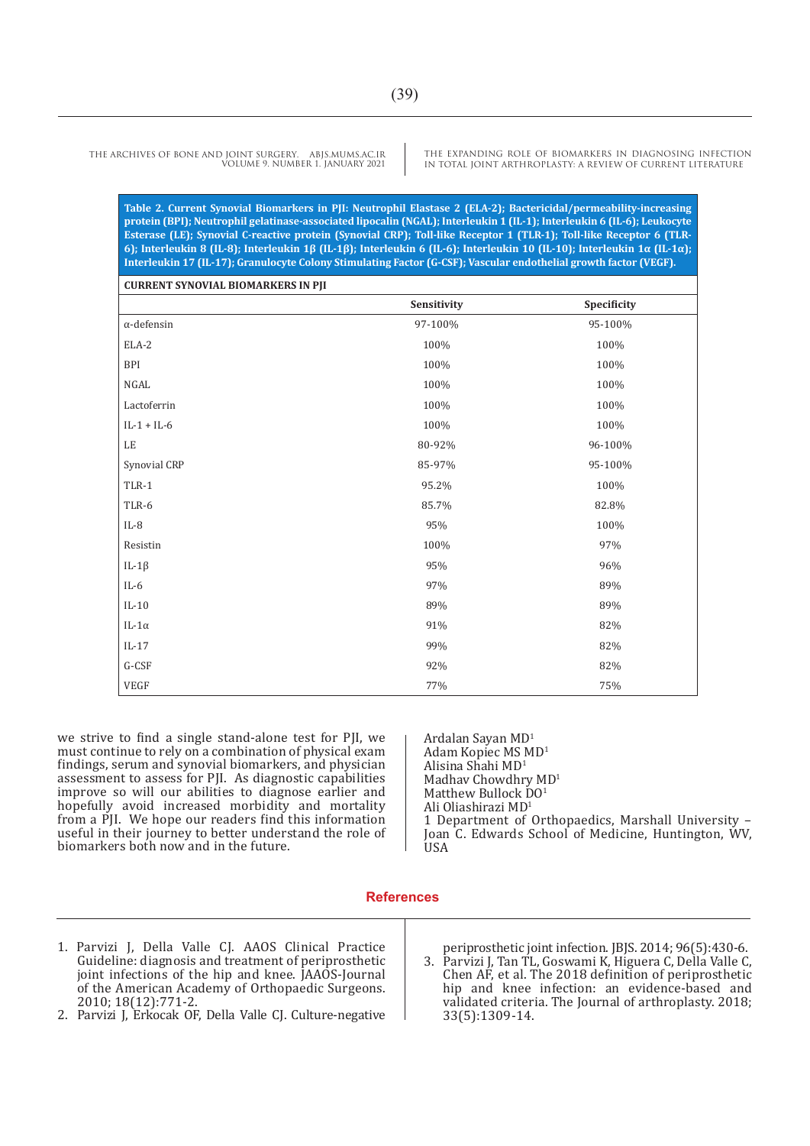THE EXPANDING ROLE OF BIOMARKERS IN DIAGNOSING INFECTION IN TOTAL JOINT ARTHROPLASTY: A REVIEW OF CURRENT LITERATURE

**Table 2. Current Synovial Biomarkers in PJI: Neutrophil Elastase 2 (ELA-2); Bactericidal/permeability-increasing protein (BPI); Neutrophil gelatinase-associated lipocalin (NGAL); Interleukin 1 (IL-1); Interleukin 6 (IL-6); Leukocyte Esterase (LE); Synovial C-reactive protein (Synovial CRP); Toll-like Receptor 1 (TLR-1); Toll-like Receptor 6 (TLR-6); Interleukin 8 (IL-8); Interleukin 1β (IL-1β); Interleukin 6 (IL-6); Interleukin 10 (IL-10); Interleukin 1α (IL-1α); Interleukin 17 (IL-17); Granulocyte Colony Stimulating Factor (G-CSF); Vascular endothelial growth factor (VEGF).** 

| <b>CURRENT SYNOVIAL BIOMARKERS IN PJI</b> | Sensitivity | Specificity |
|-------------------------------------------|-------------|-------------|
| $\alpha$ -defensin                        | 97-100%     | 95-100%     |
| ELA-2                                     | 100%        | 100%        |
| <b>BPI</b>                                | 100%        | 100%        |
| NGAL                                      | 100%        | 100%        |
| Lactoferrin                               | 100%        | 100%        |
| $IL-1 + IL-6$                             | 100%        | 100%        |
| $\rm LE$                                  | 80-92%      | 96-100%     |
| Synovial CRP                              | 85-97%      | 95-100%     |
| $TLR-1$                                   | 95.2%       | 100%        |
| TLR-6                                     | 85.7%       | 82.8%       |
| $IL-8$                                    | 95%         | 100%        |
| Resistin                                  | 100%        | 97%         |
| IL-1 $\beta$                              | 95%         | 96%         |
| $IL-6$                                    | 97%         | 89%         |
| $IL-10$                                   | 89%         | 89%         |
| IL-1 $\alpha$                             | 91%         | 82%         |
| $IL-17$                                   | 99%         | 82%         |
| $G-CSF$                                   | 92%         | 82%         |
| VEGF                                      | 77%         | 75%         |

we strive to find a single stand-alone test for PJI, we must continue to rely on a combination of physical exam findings, serum and synovial biomarkers, and physician assessment to assess for PJI. As diagnostic capabilities improve so will our abilities to diagnose earlier and hopefully avoid increased morbidity and mortality from a PJI. We hope our readers find this information useful in their journey to better understand the role of biomarkers both now and in the future.

Ardalan Sayan MD<sup>1</sup> Adam Kopiec MS MD<sup>1</sup> Alisina Shahi MD<sup>1</sup> Madhav Chowdhry MD<sup>1</sup> Matthew Bullock DO<sup>1</sup> Ali Oliashirazi MD1 1 Department of Orthopaedics, Marshall University – Joan C. Edwards School of Medicine, Huntington, WV, USA

#### **References**

- 1. Parvizi J, Della Valle CJ. AAOS Clinical Practice Guideline: diagnosis and treatment of periprosthetic joint infections of the hip and knee. JAAOS-Journal of the American Academy of Orthopaedic Surgeons. 2010; 18(12):771-2.
- 2. Parvizi J, Erkocak OF, Della Valle CJ. Culture-negative

periprosthetic joint infection. JBJS. 2014; 96(5):430-6.

3. Parvizi J, Tan TL, Goswami K, Higuera C, Della Valle C, Chen AF, et al. The 2018 definition of periprosthetic hip and knee infection: an evidence-based and validated criteria. The Journal of arthroplasty. 2018; 33(5):1309-14.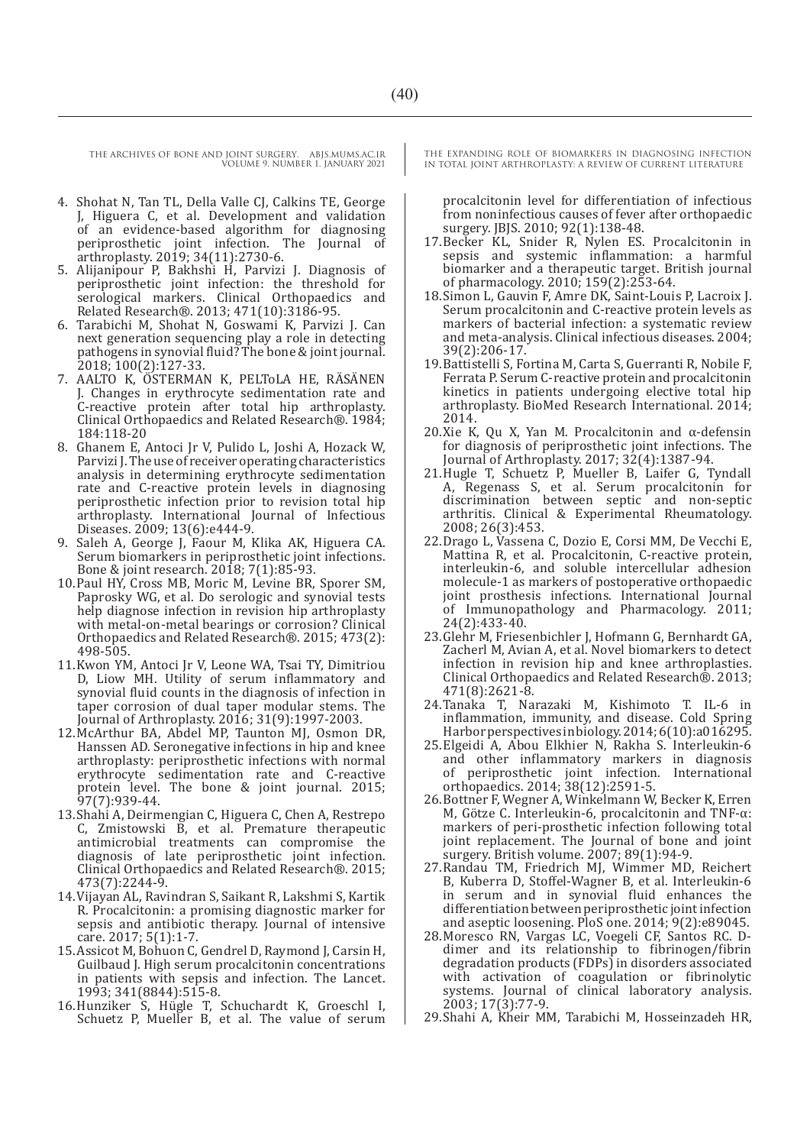- 4. Shohat N, Tan TL, Della Valle CJ, Calkins TE, George J, Higuera C, et al. Development and validation of an evidence-based algorithm for diagnosing periprosthetic joint infection. The Journal of arthroplasty. 2019; 34(11):2730-6.
- 5. Alijanipour P, Bakhshi H, Parvizi J. Diagnosis of periprosthetic joint infection: the threshold for serological markers. Clinical Orthopaedics and Related Research®. 2013; 471(10):3186-95.
- 6. Tarabichi M, Shohat N, Goswami K, Parvizi J. Can next generation sequencing play a role in detecting pathogens in synovial fluid? The bone & joint journal. 2018; 100(2):127-33.
- 7. AALTO K, ÖSTERMAN K, PELTOLA HE, RÄSÄNEN J. Changes in erythrocyte sedimentation rate and C-reactive protein after total hip arthroplasty. Clinical Orthopaedics and Related Research®. 1984; 184:118-20
- 8. Ghanem E, Antoci Jr V, Pulido L, Joshi A, Hozack W, Parvizi J. The use of receiver operating characteristics analysis in determining erythrocyte sedimentation rate and C-reactive protein levels in diagnosing periprosthetic infection prior to revision total hip arthroplasty. International Journal of Infectious Diseases. 2009; 13(6):e444-9.
- 9. Saleh A, George J, Faour M, Klika AK, Higuera CA. Serum biomarkers in periprosthetic joint infections. Bone & joint research. 2018; 7(1):85-93.
- 10.Paul HY, Cross MB, Moric M, Levine BR, Sporer SM, Paprosky WG, et al. Do serologic and synovial tests help diagnose infection in revision hip arthroplasty with metal-on-metal bearings or corrosion? Clinical Orthopaedics and Related Research®. 2015; 473(2): 498-505.
- 11.Kwon YM, Antoci Jr V, Leone WA, Tsai TY, Dimitriou D, Liow MH. Utility of serum inflammatory and synovial fluid counts in the diagnosis of infection in taper corrosion of dual taper modular stems. The Journal of Arthroplasty. 2016; 31(9):1997-2003.
- 12.McArthur BA, Abdel MP, Taunton MJ, Osmon DR, Hanssen AD. Seronegative infections in hip and knee arthroplasty: periprosthetic infections with normal erythrocyte sedimentation rate and C-reactive protein level. The bone & joint journal. 2015; 97(7):939-44.
- 13.Shahi A, Deirmengian C, Higuera C, Chen A, Restrepo C, Zmistowski B, et al. Premature therapeutic antimicrobial treatments can compromise the diagnosis of late periprosthetic joint infection. Clinical Orthopaedics and Related Research®. 2015; 473(7):2244-9.
- 14.Vijayan AL, Ravindran S, Saikant R, Lakshmi S, Kartik R. Procalcitonin: a promising diagnostic marker for sepsis and antibiotic therapy. Journal of intensive care. 2017; 5(1):1-7.
- 15.Assicot M, Bohuon C, Gendrel D, Raymond J, Carsin H, Guilbaud J. High serum procalcitonin concentrations in patients with sepsis and infection. The Lancet. 1993; 341(8844):515-8.
- 16.Hunziker S, Hügle T, Schuchardt K, Groeschl I, Schuetz P, Mueller B, et al. The value of serum

THE EXPANDING ROLE OF BIOMARKERS IN DIAGNOSING INFECTION IN TOTAL JOINT ARTHROPLASTY: A REVIEW OF CURRENT LITERATURE

procalcitonin level for differentiation of infectious from noninfectious causes of fever after orthopaedic surgery. JBJS. 2010; 92(1):138-48.

- 17.Becker KL, Snider R, Nylen ES. Procalcitonin in sepsis and systemic inflammation: a harmful biomarker and a therapeutic target. British journal of pharmacology. 2010; 159(2):253-64.
- 18.Simon L, Gauvin F, Amre DK, Saint-Louis P, Lacroix J. Serum procalcitonin and C-reactive protein levels as markers of bacterial infection: a systematic review and meta-analysis. Clinical infectious diseases. 2004; 39(2):206-17.
- 19.Battistelli S, Fortina M, Carta S, Guerranti R, Nobile F, Ferrata P. Serum C-reactive protein and procalcitonin kinetics in patients undergoing elective total hip arthroplasty. BioMed Research International. 2014; 2014.
- 20.Xie K, Qu X, Yan M. Procalcitonin and α-defensin for diagnosis of periprosthetic joint infections. The Journal of Arthroplasty. 2017; 32(4):1387-94.
- 21.Hugle T, Schuetz P, Mueller B, Laifer G, Tyndall A, Regenass S, et al. Serum procalcitonin for discrimination between septic and non-septic arthritis. Clinical & Experimental Rheumatology. 2008; 26(3):453.
- 22.Drago L, Vassena C, Dozio E, Corsi MM, De Vecchi E, Mattina R, et al. Procalcitonin, C-reactive protein, interleukin-6, and soluble intercellular adhesion molecule-1 as markers of postoperative orthopaedic joint prosthesis infections. International Journal of Immunopathology and Pharmacology. 2011; 24(2):433-40.
- 23.Glehr M, Friesenbichler J, Hofmann G, Bernhardt GA, Zacherl M, Avian A, et al. Novel biomarkers to detect infection in revision hip and knee arthroplasties. Clinical Orthopaedics and Related Research®. 2013; 471(8):2621-8.
- 24.Tanaka T, Narazaki M, Kishimoto T. IL-6 in inflammation, immunity, and disease. Cold Spring Harbor perspectives in biology. 2014; 6(10):a016295.
- 25.Elgeidi A, Abou Elkhier N, Rakha S. Interleukin-6 and other inflammatory markers in diagnosis of periprosthetic joint infection. International orthopaedics. 2014; 38(12):2591-5.
- 26.Bottner F, Wegner A, Winkelmann W, Becker K, Erren M, Götze C. Interleukin-6, procalcitonin and TNF-α: markers of peri-prosthetic infection following total joint replacement. The Journal of bone and joint surgery. British volume. 2007; 89(1):94-9.
- 27.Randau TM, Friedrich MJ, Wimmer MD, Reichert B, Kuberra D, Stoffel-Wagner B, et al. Interleukin-6 in serum and in synovial fluid enhances the differentiation between periprosthetic joint infection and aseptic loosening. PloS one. 2014; 9(2):e89045.
- 28.Moresco RN, Vargas LC, Voegeli CF, Santos RC. Ddimer and its relationship to fibrinogen/fibrin degradation products (FDPs) in disorders associated with activation of coagulation or fibrinolytic systems. Journal of clinical laboratory analysis. 2003; 17(3):77-9.
- 29.Shahi A, Kheir MM, Tarabichi M, Hosseinzadeh HR,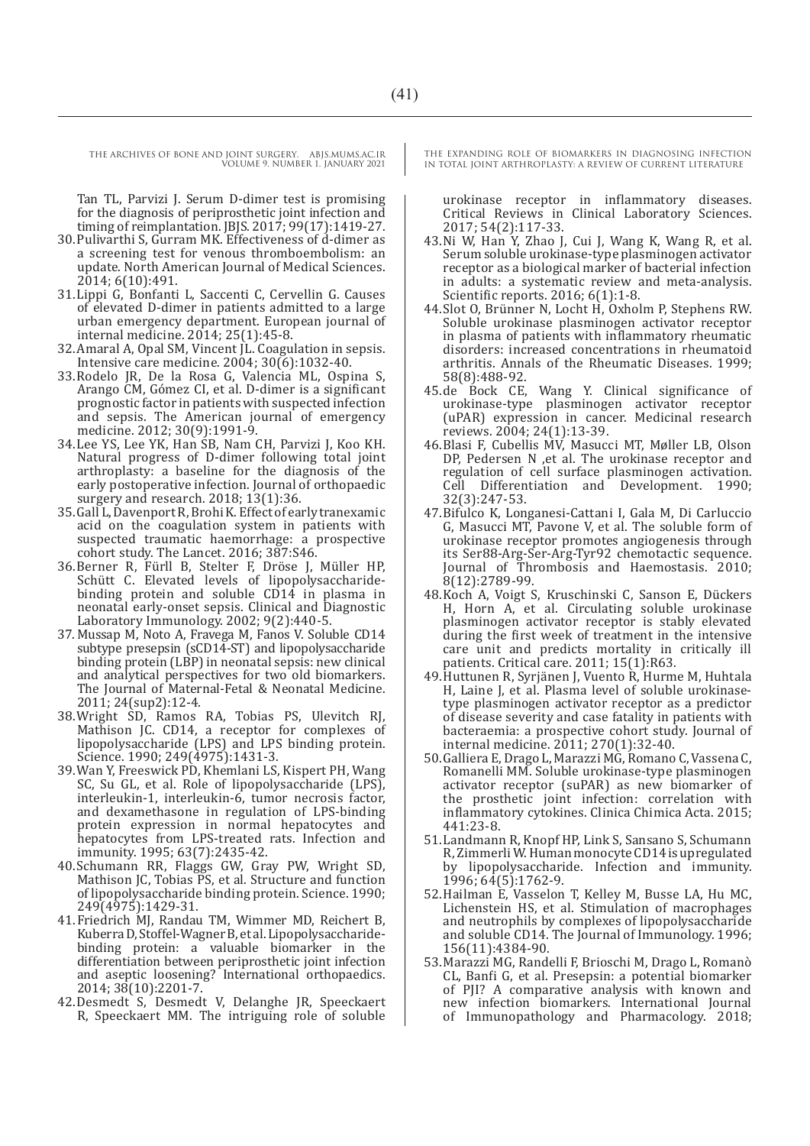Tan TL, Parvizi J. Serum D-dimer test is promising for the diagnosis of periprosthetic joint infection and timing of reimplantation. JBJS. 2017; 99(17):1419-27.

- 30.Pulivarthi S, Gurram MK. Effectiveness of d-dimer as a screening test for venous thromboembolism: an update. North American Journal of Medical Sciences. 2014; 6(10):491.
- 31.Lippi G, Bonfanti L, Saccenti C, Cervellin G. Causes of elevated D-dimer in patients admitted to a large urban emergency department. European journal of internal medicine. 2014; 25(1):45-8.
- 32.Amaral A, Opal SM, Vincent JL. Coagulation in sepsis. Intensive care medicine. 2004; 30(6):1032-40.
- 33.Rodelo JR, De la Rosa G, Valencia ML, Ospina S, Arango CM, Gómez CI, et al. D-dimer is a significant prognostic factor in patients with suspected infection and sepsis. The American journal of emergency medicine. 2012; 30(9):1991-9.
- 34.Lee YS, Lee YK, Han SB, Nam CH, Parvizi J, Koo KH. Natural progress of D-dimer following total joint arthroplasty: a baseline for the diagnosis of the early postoperative infection. Journal of orthopaedic surgery and research. 2018; 13(1):36.
- 35.Gall L, Davenport R, Brohi K. Effect of early tranexamic acid on the coagulation system in patients with suspected traumatic haemorrhage: a prospective cohort study. The Lancet. 2016; 387:S46.
- 36.Berner R, Fürll B, Stelter F, Dröse J, Müller HP, Schütt C. Elevated levels of lipopolysaccharidebinding protein and soluble CD14 in plasma in neonatal early-onset sepsis. Clinical and Diagnostic Laboratory Immunology. 2002; 9(2):440-5.
- 37. Mussap M, Noto A, Fravega M, Fanos V. Soluble CD14 subtype presepsin (sCD14-ST) and lipopolysaccharide binding protein (LBP) in neonatal sepsis: new clinical and analytical perspectives for two old biomarkers. The Journal of Maternal-Fetal & Neonatal Medicine. 2011; 24(sup2):12-4.
- 38.Wright SD, Ramos RA, Tobias PS, Ulevitch RJ, Mathison JC. CD14, a receptor for complexes of lipopolysaccharide (LPS) and LPS binding protein. Science. 1990; 249(4975):1431-3.
- 39.Wan Y, Freeswick PD, Khemlani LS, Kispert PH, Wang SC, Su GL, et al. Role of lipopolysaccharide (LPS), interleukin-1, interleukin-6, tumor necrosis factor, and dexamethasone in regulation of LPS-binding protein expression in normal hepatocytes and hepatocytes from LPS-treated rats. Infection and immunity. 1995; 63(7):2435-42.
- 40.Schumann RR, Flaggs GW, Gray PW, Wright SD, Mathison JC, Tobias PS, et al. Structure and function of lipopolysaccharide binding protein. Science. 1990; 249(4975):1429-31.
- 41.Friedrich MJ, Randau TM, Wimmer MD, Reichert B, Kuberra D, Stoffel-Wagner B, et al. Lipopolysaccharidebinding protein: a valuable biomarker in the differentiation between periprosthetic joint infection and aseptic loosening? International orthopaedics. 2014; 38(10):2201-7.
- 42.Desmedt S, Desmedt V, Delanghe JR, Speeckaert R, Speeckaert MM. The intriguing role of soluble

THE EXPANDING ROLE OF BIOMARKERS IN DIAGNOSING INFECTION IN TOTAL JOINT ARTHROPLASTY: A REVIEW OF CURRENT LITERATURE

urokinase receptor in inflammatory diseases. Critical Reviews in Clinical Laboratory Sciences. 2017; 54(2):117-33.

- 43.Ni W, Han Y, Zhao J, Cui J, Wang K, Wang R, et al. Serum soluble urokinase-type plasminogen activator receptor as a biological marker of bacterial infection in adults: a systematic review and meta-analysis. Scientific reports. 2016; 6(1):1-8.
- 44.Slot O, Brünner N, Locht H, Oxholm P, Stephens RW. Soluble urokinase plasminogen activator receptor in plasma of patients with inflammatory rheumatic disorders: increased concentrations in rheumatoid arthritis. Annals of the Rheumatic Diseases. 1999; 58(8):488-92.
- 45.de Bock CE, Wang Y. Clinical significance of urokinase-type plasminogen activator receptor (uPAR) expression in cancer. Medicinal research reviews. 2004; 24(1):13-39.
- 46.Blasi F, Cubellis MV, Masucci MT, Møller LB, Olson DP, Pedersen N ,et al. The urokinase receptor and regulation of cell surface plasminogen activation. Cell Differentiation and Development. 1990; 32(3):247-53.
- 47.Bifulco K, Longanesi-Cattani I, Gala M, Di Carluccio G, Masucci MT, Pavone V, et al. The soluble form of urokinase receptor promotes angiogenesis through its Ser88-Arg-Ser-Arg-Tyr92 chemotactic sequence. Journal of Thrombosis and Haemostasis. 2010; 8(12):2789-99.
- 48.Koch A, Voigt S, Kruschinski C, Sanson E, Dückers H, Horn A, et al. Circulating soluble urokinase plasminogen activator receptor is stably elevated during the first week of treatment in the intensive care unit and predicts mortality in critically ill patients. Critical care. 2011; 15(1):R63.
- 49.Huttunen R, Syrjänen J, Vuento R, Hurme M, Huhtala H, Laine J, et al. Plasma level of soluble urokinasetype plasminogen activator receptor as a predictor of disease severity and case fatality in patients with bacteraemia: a prospective cohort study. Journal of internal medicine. 2011; 270(1):32-40.
- 50.Galliera E, Drago L, Marazzi MG, Romano C, Vassena C, Romanelli MM. Soluble urokinase-type plasminogen activator receptor (suPAR) as new biomarker of the prosthetic joint infection: correlation with inflammatory cytokines. Clinica Chimica Acta. 2015; 441:23-8.
- 51.Landmann R, Knopf HP, Link S, Sansano S, Schumann R, Zimmerli W. Human monocyte CD14 is upregulated by lipopolysaccharide. Infection and immunity. 1996; 64(5):1762-9.
- 52.Hailman E, Vasselon T, Kelley M, Busse LA, Hu MC, Lichenstein HS, et al. Stimulation of macrophages and neutrophils by complexes of lipopolysaccharide and soluble CD14. The Journal of Immunology. 1996; 156(11):4384-90.
- 53.Marazzi MG, Randelli F, Brioschi M, Drago L, Romanò CL, Banfi G, et al. Presepsin: a potential biomarker of PJI? A comparative analysis with known and new infection biomarkers. International Journal of Immunopathology and Pharmacology. 2018;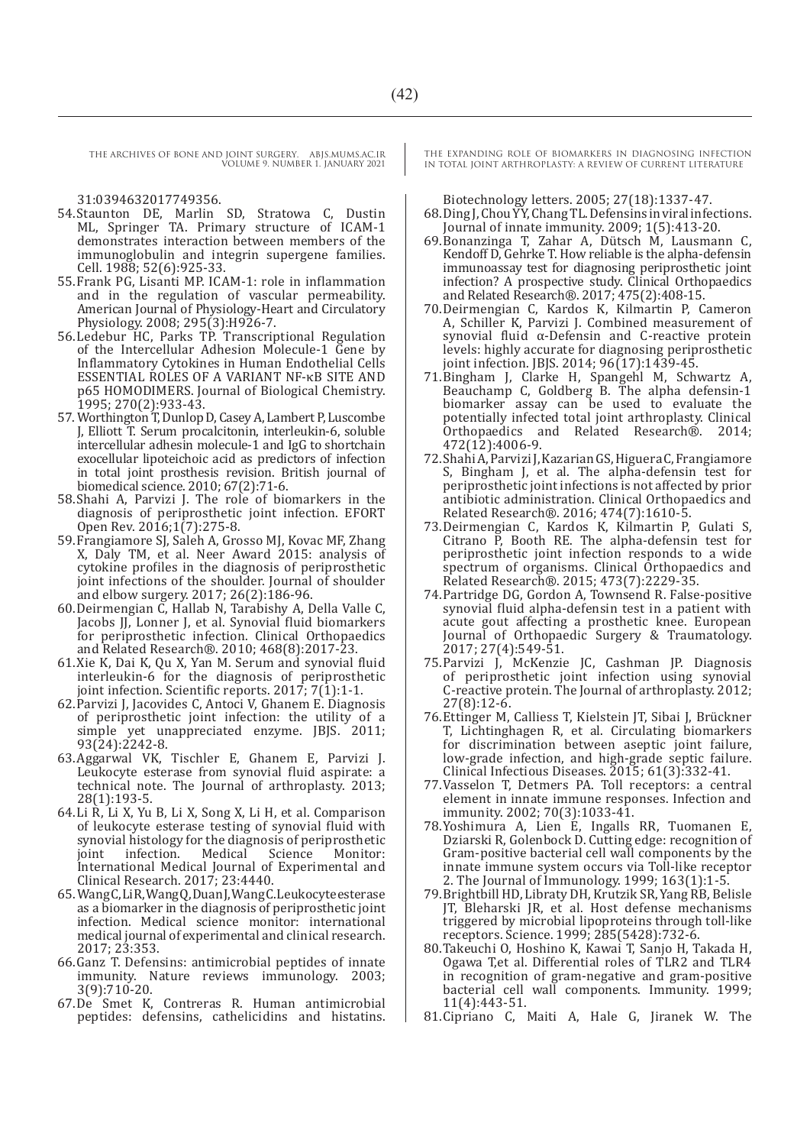31:0394632017749356.

- 54.Staunton DE, Marlin SD, Stratowa C, Dustin ML, Springer TA. Primary structure of ICAM-1 demonstrates interaction between members of the immunoglobulin and integrin supergene families. Cell. 1988; 52(6):925-33.
- 55.Frank PG, Lisanti MP. ICAM-1: role in inflammation and in the regulation of vascular permeability. American Journal of Physiology-Heart and Circulatory Physiology. 2008; 295(3):H926-7.
- 56.Ledebur HC, Parks TP. Transcriptional Regulation of the Intercellular Adhesion Molecule-1 Gene by Inflammatory Cytokines in Human Endothelial Cells ESSENTIAL ROLES OF A VARIANT NF-κB SITE AND p65 HOMODIMERS. Journal of Biological Chemistry. 1995; 270(2):933-43.
- 57.Worthington T, Dunlop D, Casey A, Lambert P, Luscombe J, Elliott T. Serum procalcitonin, interleukin-6, soluble intercellular adhesin molecule-1 and IgG to shortchain exocellular lipoteichoic acid as predictors of infection in total joint prosthesis revision. British journal of biomedical science. 2010; 67(2):71-6.
- 58.Shahi A, Parvizi J. The role of biomarkers in the diagnosis of periprosthetic joint infection. EFORT Open Rev. 2016;1(7):275-8.
- 59.Frangiamore SJ, Saleh A, Grosso MJ, Kovac MF, Zhang X, Daly TM, et al. Neer Award 2015: analysis of cytokine profiles in the diagnosis of periprosthetic joint infections of the shoulder. Journal of shoulder and elbow surgery. 2017; 26(2):186-96.
- 60.Deirmengian C, Hallab N, Tarabishy A, Della Valle C, Jacobs JJ, Lonner J, et al. Synovial fluid biomarkers for periprosthetic infection. Clinical Orthopaedics and Related Research®. 2010; 468(8):2017-23.
- 61.Xie K, Dai K, Qu X, Yan M. Serum and synovial fluid interleukin-6 for the diagnosis of periprosthetic joint infection. Scientific reports.  $2017$ ;  $7(1)$ :1-1.
- 62.Parvizi J, Jacovides C, Antoci V, Ghanem E. Diagnosis of periprosthetic joint infection: the utility of a simple yet unappreciated enzyme. JBJS. 2011; 93(24):2242-8.
- 63.Aggarwal VK, Tischler E, Ghanem E, Parvizi J. Leukocyte esterase from synovial fluid aspirate: a technical note. The Journal of arthroplasty. 2013; 28(1):193-5.
- 64.Li R, Li X, Yu B, Li X, Song X, Li H, et al. Comparison of leukocyte esterase testing of synovial fluid with synovial histology for the diagnosis of periprosthetic<br>joint infection. Medical Science Monitor: joint infection. Medical Science Monitor: International Medical Journal of Experimental and Clinical Research. 2017; 23:4440.
- 65.Wang C, Li R, Wang Q, Duan J, Wang C. Leukocyte esterase as a biomarker in the diagnosis of periprosthetic joint infection. Medical science monitor: international medical journal of experimental and clinical research. 2017; 23:353.
- 66.Ganz T. Defensins: antimicrobial peptides of innate immunity. Nature reviews immunology. 2003; 3(9):710-20.
- 67.De Smet K, Contreras R. Human antimicrobial peptides: defensins, cathelicidins and histatins.

THE EXPANDING ROLE OF BIOMARKERS IN DIAGNOSING INFECTION IN TOTAL JOINT ARTHROPLASTY: A REVIEW OF CURRENT LITERATURE

Biotechnology letters. 2005; 27(18):1337-47.

- 68.Ding J, Chou YY, Chang TL. Defensins in viral infections. Journal of innate immunity. 2009; 1(5):413-20.
- 69.Bonanzinga T, Zahar A, Dütsch M, Lausmann C, Kendoff D, Gehrke T. How reliable is the alpha-defensin immunoassay test for diagnosing periprosthetic joint infection? A prospective study. Clinical Orthopaedics and Related Research®. 2017; 475(2):408-15.
- 70.Deirmengian C, Kardos K, Kilmartin P, Cameron A, Schiller K, Parvizi J. Combined measurement of synovial fluid α-Defensin and C-reactive protein levels: highly accurate for diagnosing periprosthetic joint infection. JBJS. 2014; 96(17):1439-45.
- 71.Bingham J, Clarke H, Spangehl M, Schwartz A, Beauchamp C, Goldberg B. The alpha defensin-1 biomarker assay can be used to evaluate the potentially infected total joint arthroplasty. Clinical Orthopaedics and Related Research®. 2014; 472(12):4006-9.
- 72.Shahi A, Parvizi J, Kazarian GS, Higuera C, Frangiamore S, Bingham J, et al. The alpha-defensin test for periprosthetic joint infections is not affected by prior antibiotic administration. Clinical Orthopaedics and Related Research®. 2016; 474(7):1610-5.
- 73.Deirmengian C, Kardos K, Kilmartin P, Gulati S, Citrano P, Booth RE. The alpha-defensin test for periprosthetic joint infection responds to a wide spectrum of organisms. Clinical Orthopaedics and Related Research®. 2015; 473(7):2229-35.
- 74.Partridge DG, Gordon A, Townsend R. False-positive synovial fluid alpha-defensin test in a patient with acute gout affecting a prosthetic knee. European Journal of Orthopaedic Surgery & Traumatology. 2017; 27(4):549-51.
- 75.Parvizi J, McKenzie JC, Cashman JP. Diagnosis of periprosthetic joint infection using synovial C-reactive protein. The Journal of arthroplasty. 2012; 27(8):12-6.
- 76.Ettinger M, Calliess T, Kielstein JT, Sibai J, Brückner T, Lichtinghagen R, et al. Circulating biomarkers for discrimination between aseptic joint failure, low-grade infection, and high-grade septic failure. Clinical Infectious Diseases. 2015; 61(3):332-41.
- 77.Vasselon T, Detmers PA. Toll receptors: a central element in innate immune responses. Infection and immunity. 2002; 70(3):1033-41.
- 78.Yoshimura A, Lien E, Ingalls RR, Tuomanen E, Dziarski R, Golenbock D. Cutting edge: recognition of Gram-positive bacterial cell wall components by the innate immune system occurs via Toll-like receptor 2. The Journal of Immunology. 1999; 163(1):1-5.
- 79.Brightbill HD, Libraty DH, Krutzik SR, Yang RB, Belisle JT, Bleharski JR, et al. Host defense mechanisms triggered by microbial lipoproteins through toll-like receptors. Science. 1999; 285(5428):732-6.
- 80.Takeuchi O, Hoshino K, Kawai T, Sanjo H, Takada H, Ogawa T,et al. Differential roles of TLR2 and TLR4 in recognition of gram-negative and gram-positive bacterial cell wall components. Immunity. 1999; 11(4):443-51.
- 81.Cipriano C, Maiti A, Hale G, Jiranek W. The